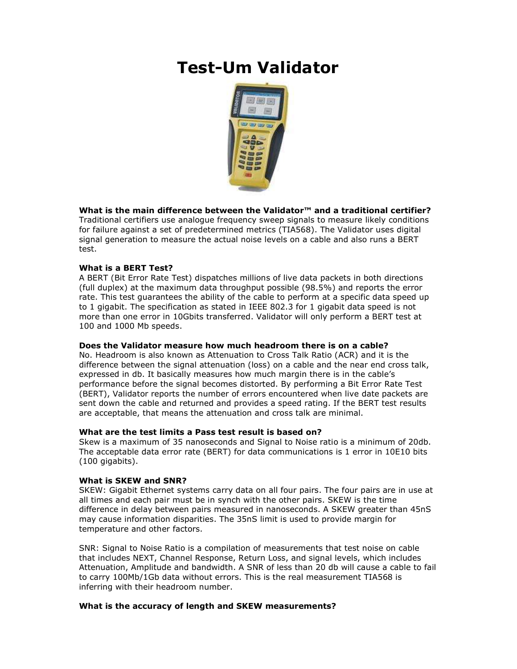# Test-Um Validator



## What is the main difference between the Validator™ and a traditional certifier?

Traditional certifiers use analogue frequency sweep signals to measure likely conditions for failure against a set of predetermined metrics (TIA568). The Validator uses digital signal generation to measure the actual noise levels on a cable and also runs a BERT test.

### What is a BERT Test?

A BERT (Bit Error Rate Test) dispatches millions of live data packets in both directions (full duplex) at the maximum data throughput possible (98.5%) and reports the error rate. This test guarantees the ability of the cable to perform at a specific data speed up to 1 gigabit. The specification as stated in IEEE 802.3 for 1 gigabit data speed is not more than one error in 10Gbits transferred. Validator will only perform a BERT test at 100 and 1000 Mb speeds.

### Does the Validator measure how much headroom there is on a cable?

No. Headroom is also known as Attenuation to Cross Talk Ratio (ACR) and it is the difference between the signal attenuation (loss) on a cable and the near end cross talk, expressed in db. It basically measures how much margin there is in the cable's performance before the signal becomes distorted. By performing a Bit Error Rate Test (BERT), Validator reports the number of errors encountered when live date packets are sent down the cable and returned and provides a speed rating. If the BERT test results are acceptable, that means the attenuation and cross talk are minimal.

### What are the test limits a Pass test result is based on?

Skew is a maximum of 35 nanoseconds and Signal to Noise ratio is a minimum of 20db. The acceptable data error rate (BERT) for data communications is 1 error in 10E10 bits (100 gigabits).

### What is SKEW and SNR?

SKEW: Gigabit Ethernet systems carry data on all four pairs. The four pairs are in use at all times and each pair must be in synch with the other pairs. SKEW is the time difference in delay between pairs measured in nanoseconds. A SKEW greater than 45nS may cause information disparities. The 35nS limit is used to provide margin for temperature and other factors.

SNR: Signal to Noise Ratio is a compilation of measurements that test noise on cable that includes NEXT, Channel Response, Return Loss, and signal levels, which includes Attenuation, Amplitude and bandwidth. A SNR of less than 20 db will cause a cable to fail to carry 100Mb/1Gb data without errors. This is the real measurement TIA568 is inferring with their headroom number.

### What is the accuracy of length and SKEW measurements?